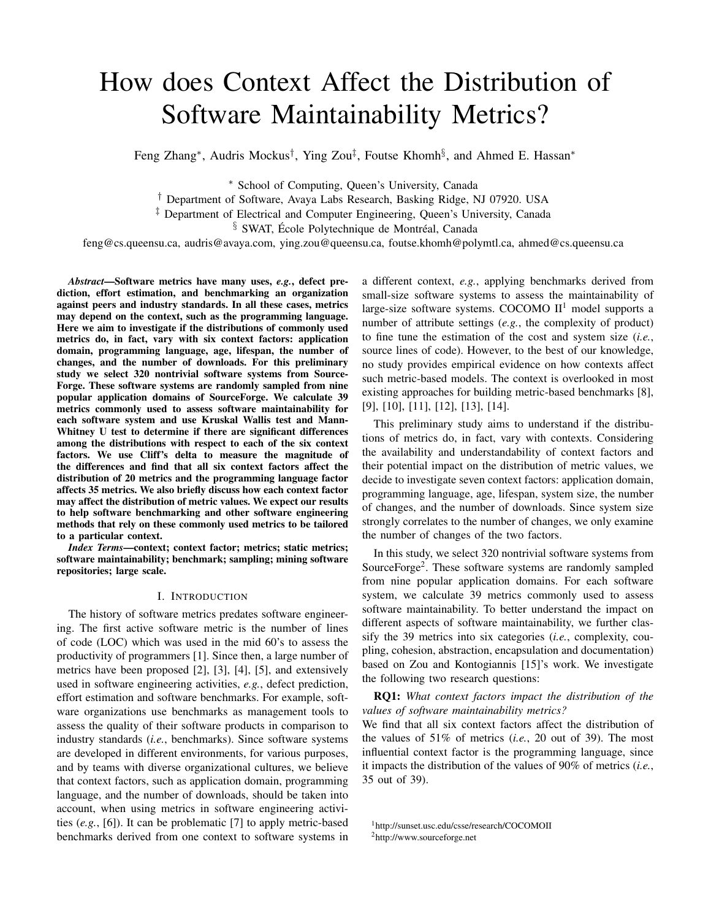# How does Context Affect the Distribution of Software Maintainability Metrics?

Feng Zhang<sup>\*</sup>, Audris Mockus<sup>†</sup>, Ying Zou<sup>‡</sup>, Foutse Khomh<sup>§</sup>, and Ahmed E. Hassan<sup>\*</sup>

<sup>∗</sup> School of Computing, Queen's University, Canada

† Department of Software, Avaya Labs Research, Basking Ridge, NJ 07920. USA

<sup>‡</sup> Department of Electrical and Computer Engineering, Queen's University, Canada

 $§$  SWAT, École Polytechnique de Montréal, Canada

feng@cs.queensu.ca, audris@avaya.com, ying.zou@queensu.ca, foutse.khomh@polymtl.ca, ahmed@cs.queensu.ca

*Abstract*—Software metrics have many uses, *e.g.*, defect prediction, effort estimation, and benchmarking an organization against peers and industry standards. In all these cases, metrics may depend on the context, such as the programming language. Here we aim to investigate if the distributions of commonly used metrics do, in fact, vary with six context factors: application domain, programming language, age, lifespan, the number of changes, and the number of downloads. For this preliminary study we select 320 nontrivial software systems from Source-Forge. These software systems are randomly sampled from nine popular application domains of SourceForge. We calculate 39 metrics commonly used to assess software maintainability for each software system and use Kruskal Wallis test and Mann-Whitney U test to determine if there are significant differences among the distributions with respect to each of the six context factors. We use Cliff's delta to measure the magnitude of the differences and find that all six context factors affect the distribution of 20 metrics and the programming language factor affects 35 metrics. We also briefly discuss how each context factor may affect the distribution of metric values. We expect our results to help software benchmarking and other software engineering methods that rely on these commonly used metrics to be tailored to a particular context.

*Index Terms*—context; context factor; metrics; static metrics; software maintainability; benchmark; sampling; mining software repositories; large scale.

### I. INTRODUCTION

The history of software metrics predates software engineering. The first active software metric is the number of lines of code (LOC) which was used in the mid 60's to assess the productivity of programmers [1]. Since then, a large number of metrics have been proposed [2], [3], [4], [5], and extensively used in software engineering activities, *e.g.*, defect prediction, effort estimation and software benchmarks. For example, software organizations use benchmarks as management tools to assess the quality of their software products in comparison to industry standards (*i.e.*, benchmarks). Since software systems are developed in different environments, for various purposes, and by teams with diverse organizational cultures, we believe that context factors, such as application domain, programming language, and the number of downloads, should be taken into account, when using metrics in software engineering activities (*e.g.*, [6]). It can be problematic [7] to apply metric-based benchmarks derived from one context to software systems in

a different context, *e.g.*, applying benchmarks derived from small-size software systems to assess the maintainability of large-size software systems. COCOMO  $II<sup>1</sup>$  model supports a number of attribute settings (*e.g.*, the complexity of product) to fine tune the estimation of the cost and system size (*i.e.*, source lines of code). However, to the best of our knowledge, no study provides empirical evidence on how contexts affect such metric-based models. The context is overlooked in most existing approaches for building metric-based benchmarks [8], [9], [10], [11], [12], [13], [14].

This preliminary study aims to understand if the distributions of metrics do, in fact, vary with contexts. Considering the availability and understandability of context factors and their potential impact on the distribution of metric values, we decide to investigate seven context factors: application domain, programming language, age, lifespan, system size, the number of changes, and the number of downloads. Since system size strongly correlates to the number of changes, we only examine the number of changes of the two factors.

In this study, we select 320 nontrivial software systems from SourceForge<sup>2</sup>. These software systems are randomly sampled from nine popular application domains. For each software system, we calculate 39 metrics commonly used to assess software maintainability. To better understand the impact on different aspects of software maintainability, we further classify the 39 metrics into six categories (*i.e.*, complexity, coupling, cohesion, abstraction, encapsulation and documentation) based on Zou and Kontogiannis [15]'s work. We investigate the following two research questions:

RQ1: *What context factors impact the distribution of the values of software maintainability metrics?*

We find that all six context factors affect the distribution of the values of 51% of metrics (*i.e.*, 20 out of 39). The most influential context factor is the programming language, since it impacts the distribution of the values of 90% of metrics (*i.e.*, 35 out of 39).

<sup>1</sup>http://sunset.usc.edu/csse/research/COCOMOII <sup>2</sup>http://www.sourceforge.net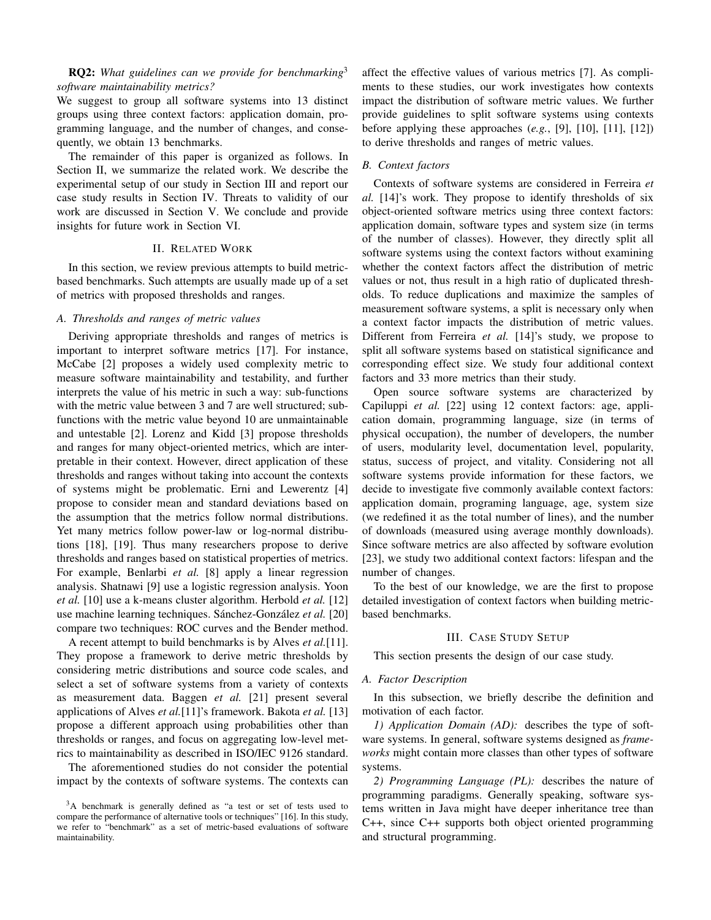# RQ2: *What guidelines can we provide for benchmarking*<sup>3</sup> *software maintainability metrics?*

We suggest to group all software systems into 13 distinct groups using three context factors: application domain, programming language, and the number of changes, and consequently, we obtain 13 benchmarks.

The remainder of this paper is organized as follows. In Section II, we summarize the related work. We describe the experimental setup of our study in Section III and report our case study results in Section IV. Threats to validity of our work are discussed in Section V. We conclude and provide insights for future work in Section VI.

## II. RELATED WORK

In this section, we review previous attempts to build metricbased benchmarks. Such attempts are usually made up of a set of metrics with proposed thresholds and ranges.

# *A. Thresholds and ranges of metric values*

Deriving appropriate thresholds and ranges of metrics is important to interpret software metrics [17]. For instance, McCabe [2] proposes a widely used complexity metric to measure software maintainability and testability, and further interprets the value of his metric in such a way: sub-functions with the metric value between 3 and 7 are well structured; subfunctions with the metric value beyond 10 are unmaintainable and untestable [2]. Lorenz and Kidd [3] propose thresholds and ranges for many object-oriented metrics, which are interpretable in their context. However, direct application of these thresholds and ranges without taking into account the contexts of systems might be problematic. Erni and Lewerentz [4] propose to consider mean and standard deviations based on the assumption that the metrics follow normal distributions. Yet many metrics follow power-law or log-normal distributions [18], [19]. Thus many researchers propose to derive thresholds and ranges based on statistical properties of metrics. For example, Benlarbi *et al.* [8] apply a linear regression analysis. Shatnawi [9] use a logistic regression analysis. Yoon *et al.* [10] use a k-means cluster algorithm. Herbold *et al.* [12] use machine learning techniques. Sánchez-González et al. [20] compare two techniques: ROC curves and the Bender method.

A recent attempt to build benchmarks is by Alves *et al.*[11]. They propose a framework to derive metric thresholds by considering metric distributions and source code scales, and select a set of software systems from a variety of contexts as measurement data. Baggen *et al.* [21] present several applications of Alves *et al.*[11]'s framework. Bakota *et al.* [13] propose a different approach using probabilities other than thresholds or ranges, and focus on aggregating low-level metrics to maintainability as described in ISO/IEC 9126 standard.

The aforementioned studies do not consider the potential impact by the contexts of software systems. The contexts can affect the effective values of various metrics [7]. As compliments to these studies, our work investigates how contexts impact the distribution of software metric values. We further provide guidelines to split software systems using contexts before applying these approaches (*e.g.*, [9], [10], [11], [12]) to derive thresholds and ranges of metric values.

# *B. Context factors*

Contexts of software systems are considered in Ferreira *et al.* [14]'s work. They propose to identify thresholds of six object-oriented software metrics using three context factors: application domain, software types and system size (in terms of the number of classes). However, they directly split all software systems using the context factors without examining whether the context factors affect the distribution of metric values or not, thus result in a high ratio of duplicated thresholds. To reduce duplications and maximize the samples of measurement software systems, a split is necessary only when a context factor impacts the distribution of metric values. Different from Ferreira *et al.* [14]'s study, we propose to split all software systems based on statistical significance and corresponding effect size. We study four additional context factors and 33 more metrics than their study.

Open source software systems are characterized by Capiluppi *et al.* [22] using 12 context factors: age, application domain, programming language, size (in terms of physical occupation), the number of developers, the number of users, modularity level, documentation level, popularity, status, success of project, and vitality. Considering not all software systems provide information for these factors, we decide to investigate five commonly available context factors: application domain, programing language, age, system size (we redefined it as the total number of lines), and the number of downloads (measured using average monthly downloads). Since software metrics are also affected by software evolution [23], we study two additional context factors: lifespan and the number of changes.

To the best of our knowledge, we are the first to propose detailed investigation of context factors when building metricbased benchmarks.

### III. CASE STUDY SETUP

This section presents the design of our case study.

#### *A. Factor Description*

In this subsection, we briefly describe the definition and motivation of each factor.

*1) Application Domain (AD):* describes the type of software systems. In general, software systems designed as *frameworks* might contain more classes than other types of software systems.

*2) Programming Language (PL):* describes the nature of programming paradigms. Generally speaking, software systems written in Java might have deeper inheritance tree than C++, since C++ supports both object oriented programming and structural programming.

<sup>3</sup>A benchmark is generally defined as "a test or set of tests used to compare the performance of alternative tools or techniques" [16]. In this study, we refer to "benchmark" as a set of metric-based evaluations of software maintainability.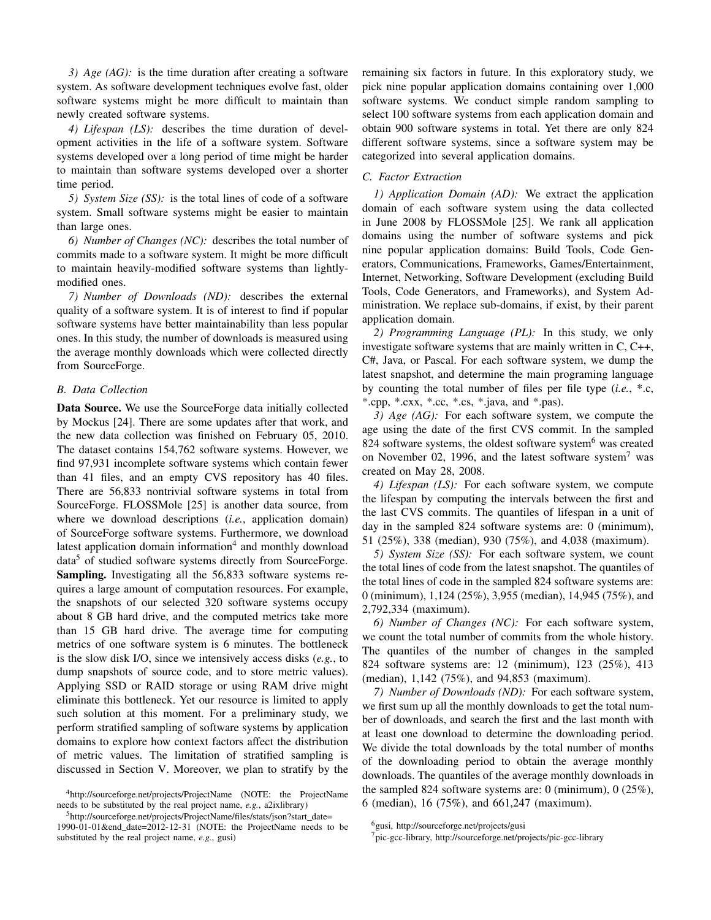*3) Age (AG):* is the time duration after creating a software system. As software development techniques evolve fast, older software systems might be more difficult to maintain than newly created software systems.

*4) Lifespan (LS):* describes the time duration of development activities in the life of a software system. Software systems developed over a long period of time might be harder to maintain than software systems developed over a shorter time period.

*5) System Size (SS):* is the total lines of code of a software system. Small software systems might be easier to maintain than large ones.

*6) Number of Changes (NC):* describes the total number of commits made to a software system. It might be more difficult to maintain heavily-modified software systems than lightlymodified ones.

*7) Number of Downloads (ND):* describes the external quality of a software system. It is of interest to find if popular software systems have better maintainability than less popular ones. In this study, the number of downloads is measured using the average monthly downloads which were collected directly from SourceForge.

# *B. Data Collection*

Data Source. We use the SourceForge data initially collected by Mockus [24]. There are some updates after that work, and the new data collection was finished on February 05, 2010. The dataset contains 154,762 software systems. However, we find 97,931 incomplete software systems which contain fewer than 41 files, and an empty CVS repository has 40 files. There are 56,833 nontrivial software systems in total from SourceForge. FLOSSMole [25] is another data source, from where we download descriptions (*i.e.*, application domain) of SourceForge software systems. Furthermore, we download latest application domain information<sup>4</sup> and monthly download data<sup>5</sup> of studied software systems directly from SourceForge. Sampling. Investigating all the 56,833 software systems requires a large amount of computation resources. For example, the snapshots of our selected 320 software systems occupy about 8 GB hard drive, and the computed metrics take more than 15 GB hard drive. The average time for computing metrics of one software system is 6 minutes. The bottleneck is the slow disk I/O, since we intensively access disks (*e.g.*, to dump snapshots of source code, and to store metric values). Applying SSD or RAID storage or using RAM drive might eliminate this bottleneck. Yet our resource is limited to apply such solution at this moment. For a preliminary study, we perform stratified sampling of software systems by application domains to explore how context factors affect the distribution of metric values. The limitation of stratified sampling is discussed in Section V. Moreover, we plan to stratify by the

<sup>5</sup>http://sourceforge.net/projects/ProjectName/files/stats/json?start\_date=

remaining six factors in future. In this exploratory study, we pick nine popular application domains containing over 1,000 software systems. We conduct simple random sampling to select 100 software systems from each application domain and obtain 900 software systems in total. Yet there are only 824 different software systems, since a software system may be categorized into several application domains.

### *C. Factor Extraction*

*1) Application Domain (AD):* We extract the application domain of each software system using the data collected in June 2008 by FLOSSMole [25]. We rank all application domains using the number of software systems and pick nine popular application domains: Build Tools, Code Generators, Communications, Frameworks, Games/Entertainment, Internet, Networking, Software Development (excluding Build Tools, Code Generators, and Frameworks), and System Administration. We replace sub-domains, if exist, by their parent application domain.

*2) Programming Language (PL):* In this study, we only investigate software systems that are mainly written in C, C++, C#, Java, or Pascal. For each software system, we dump the latest snapshot, and determine the main programing language by counting the total number of files per file type (*i.e.*, \*.c, \*.cpp, \*.cxx, \*.cc, \*.cs, \*.java, and \*.pas).

*3) Age (AG):* For each software system, we compute the age using the date of the first CVS commit. In the sampled 824 software systems, the oldest software system $<sup>6</sup>$  was created</sup> on November 02, 1996, and the latest software system<sup>7</sup> was created on May 28, 2008.

*4) Lifespan (LS):* For each software system, we compute the lifespan by computing the intervals between the first and the last CVS commits. The quantiles of lifespan in a unit of day in the sampled 824 software systems are: 0 (minimum), 51 (25%), 338 (median), 930 (75%), and 4,038 (maximum).

*5) System Size (SS):* For each software system, we count the total lines of code from the latest snapshot. The quantiles of the total lines of code in the sampled 824 software systems are: 0 (minimum), 1,124 (25%), 3,955 (median), 14,945 (75%), and 2,792,334 (maximum).

*6) Number of Changes (NC):* For each software system, we count the total number of commits from the whole history. The quantiles of the number of changes in the sampled 824 software systems are: 12 (minimum), 123 (25%), 413 (median), 1,142 (75%), and 94,853 (maximum).

*7) Number of Downloads (ND):* For each software system, we first sum up all the monthly downloads to get the total number of downloads, and search the first and the last month with at least one download to determine the downloading period. We divide the total downloads by the total number of months of the downloading period to obtain the average monthly downloads. The quantiles of the average monthly downloads in the sampled 824 software systems are: 0 (minimum), 0 (25%), 6 (median), 16 (75%), and 661,247 (maximum).

<sup>4</sup>http://sourceforge.net/projects/ProjectName (NOTE: the ProjectName needs to be substituted by the real project name, *e.g.*, a2ixlibrary)

<sup>1990-01-01&</sup>amp;end date=2012-12-31 (NOTE: the ProjectName needs to be substituted by the real project name, *e.g.*, gusi)

<sup>&</sup>lt;sup>6</sup>gusi, http://sourceforge.net/projects/gusi

<sup>7</sup>pic-gcc-library, http://sourceforge.net/projects/pic-gcc-library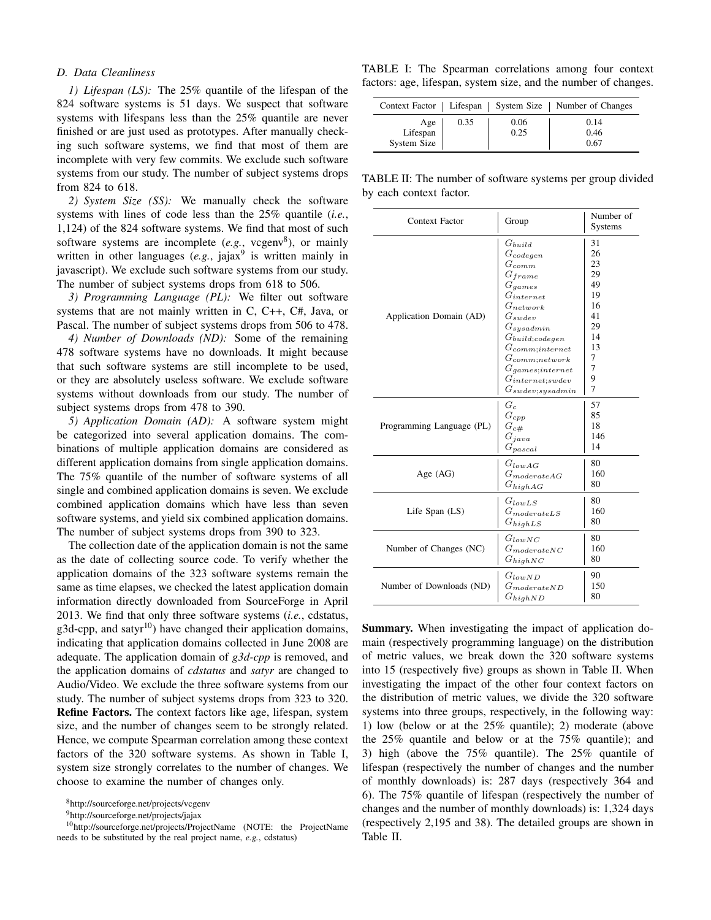## *D. Data Cleanliness*

*1) Lifespan (LS):* The 25% quantile of the lifespan of the 824 software systems is 51 days. We suspect that software systems with lifespans less than the 25% quantile are never finished or are just used as prototypes. After manually checking such software systems, we find that most of them are incomplete with very few commits. We exclude such software systems from our study. The number of subject systems drops from 824 to 618.

*2) System Size (SS):* We manually check the software systems with lines of code less than the 25% quantile (*i.e.*, 1,124) of the 824 software systems. We find that most of such software systems are incomplete  $(e.g., vegenv<sup>8</sup>)$ , or mainly written in other languages (e.g., jajax<sup>9</sup> is written mainly in javascript). We exclude such software systems from our study. The number of subject systems drops from 618 to 506.

*3) Programming Language (PL):* We filter out software systems that are not mainly written in C, C++, C#, Java, or Pascal. The number of subject systems drops from 506 to 478.

*4) Number of Downloads (ND):* Some of the remaining 478 software systems have no downloads. It might because that such software systems are still incomplete to be used, or they are absolutely useless software. We exclude software systems without downloads from our study. The number of subject systems drops from 478 to 390.

*5) Application Domain (AD):* A software system might be categorized into several application domains. The combinations of multiple application domains are considered as different application domains from single application domains. The 75% quantile of the number of software systems of all single and combined application domains is seven. We exclude combined application domains which have less than seven software systems, and yield six combined application domains. The number of subject systems drops from 390 to 323.

The collection date of the application domain is not the same as the date of collecting source code. To verify whether the application domains of the 323 software systems remain the same as time elapses, we checked the latest application domain information directly downloaded from SourceForge in April 2013. We find that only three software systems (*i.e.*, cdstatus, g3d-cpp, and satyr<sup>10</sup>) have changed their application domains, indicating that application domains collected in June 2008 are adequate. The application domain of *g3d-cpp* is removed, and the application domains of *cdstatus* and *satyr* are changed to Audio/Video. We exclude the three software systems from our study. The number of subject systems drops from 323 to 320. Refine Factors. The context factors like age, lifespan, system size, and the number of changes seem to be strongly related. Hence, we compute Spearman correlation among these context factors of the 320 software systems. As shown in Table I, system size strongly correlates to the number of changes. We choose to examine the number of changes only.

<sup>9</sup>http://sourceforge.net/projects/jajax

TABLE I: The Spearman correlations among four context factors: age, lifespan, system size, and the number of changes.

|                                |      |              | Context Factor   Lifespan   System Size   Number of Changes |
|--------------------------------|------|--------------|-------------------------------------------------------------|
| Age<br>Lifespan<br>System Size | 0.35 | 0.06<br>0.25 | 0.14<br>0.46<br>0.67                                        |

TABLE II: The number of software systems per group divided by each context factor.

| Context Factor            | Group                                                                                                                                                                                                                                                                                         | Number of<br>Systems                                                               |
|---------------------------|-----------------------------------------------------------------------------------------------------------------------------------------------------------------------------------------------------------------------------------------------------------------------------------------------|------------------------------------------------------------------------------------|
| Application Domain (AD)   | $G_{build}$<br>$G_{codegen}$<br>$G_{comm}$<br>$G_{frame}$<br>$G_{games}$<br>$G_{internet}$<br>$G_{network}$<br>$G_{swdev}$<br>$G_{sysadmin}$<br>$G_{build; codegen}$<br>$G_{commit;internet}$<br>$G_{comm; network}$<br>$G_{games; internet}$<br>$G_{internet;swdev}$<br>$G_{swdev;sysadmin}$ | 31<br>26<br>23<br>29<br>49<br>19<br>16<br>41<br>29<br>14<br>13<br>7<br>7<br>9<br>7 |
| Programming Language (PL) | $G_c$<br>$G_{cpp}$<br>$G_{c\#}$<br>$G_{iava}$<br>$G_{pascal}$                                                                                                                                                                                                                                 | 57<br>85<br>18<br>146<br>14                                                        |
| Age $(AG)$                | $G_{lowAG}$<br>$G_{moderateAG}$<br>$G_{highAG}$                                                                                                                                                                                                                                               | 80<br>160<br>80                                                                    |
| Life Span $(LS)$          | $G_{lowLS}$<br>$G_{moderateLS}$<br>$G_{highLS}$                                                                                                                                                                                                                                               | 80<br>160<br>80                                                                    |
| Number of Changes (NC)    | $G_{lowNC}$<br>$G_{moderateNC}$<br>$G_{highNC}$                                                                                                                                                                                                                                               | 80<br>160<br>80                                                                    |
| Number of Downloads (ND)  | $G_{lowND}$<br>$G_{moderateND}$<br>$G_{highND}$                                                                                                                                                                                                                                               | 90<br>150<br>80                                                                    |

Summary. When investigating the impact of application domain (respectively programming language) on the distribution of metric values, we break down the 320 software systems into 15 (respectively five) groups as shown in Table II. When investigating the impact of the other four context factors on the distribution of metric values, we divide the 320 software systems into three groups, respectively, in the following way: 1) low (below or at the 25% quantile); 2) moderate (above the 25% quantile and below or at the 75% quantile); and 3) high (above the 75% quantile). The 25% quantile of lifespan (respectively the number of changes and the number of monthly downloads) is: 287 days (respectively 364 and 6). The 75% quantile of lifespan (respectively the number of changes and the number of monthly downloads) is: 1,324 days (respectively 2,195 and 38). The detailed groups are shown in Table II.

<sup>8</sup>http://sourceforge.net/projects/vcgenv

<sup>10</sup>http://sourceforge.net/projects/ProjectName (NOTE: the ProjectName needs to be substituted by the real project name, *e.g.*, cdstatus)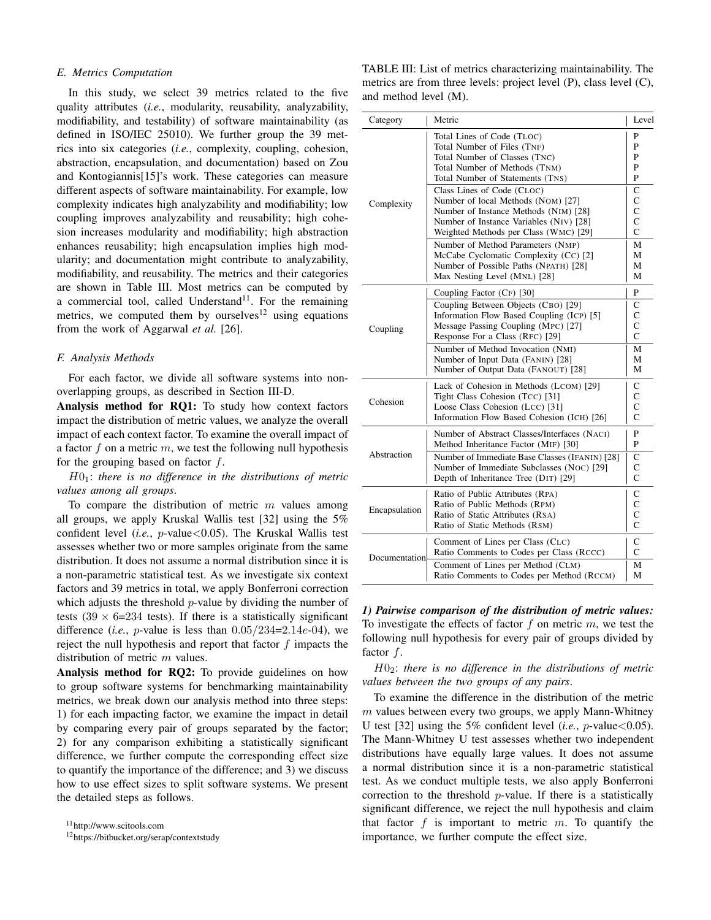### *E. Metrics Computation*

In this study, we select 39 metrics related to the five quality attributes (*i.e.*, modularity, reusability, analyzability, modifiability, and testability) of software maintainability (as defined in ISO/IEC 25010). We further group the 39 metrics into six categories (*i.e.*, complexity, coupling, cohesion, abstraction, encapsulation, and documentation) based on Zou and Kontogiannis[15]'s work. These categories can measure different aspects of software maintainability. For example, low complexity indicates high analyzability and modifiability; low coupling improves analyzability and reusability; high cohesion increases modularity and modifiability; high abstraction enhances reusability; high encapsulation implies high modularity; and documentation might contribute to analyzability, modifiability, and reusability. The metrics and their categories are shown in Table III. Most metrics can be computed by a commercial tool, called Understand<sup>11</sup>. For the remaining metrics, we computed them by ourselves<sup>12</sup> using equations from the work of Aggarwal *et al.* [26].

## *F. Analysis Methods*

For each factor, we divide all software systems into nonoverlapping groups, as described in Section III-D.

Analysis method for RQ1: To study how context factors impact the distribution of metric values, we analyze the overall impact of each context factor. To examine the overall impact of a factor f on a metric  $m$ , we test the following null hypothesis for the grouping based on factor  $f$ .

H01: *there is no difference in the distributions of metric values among all groups*.

To compare the distribution of metric  $m$  values among all groups, we apply Kruskal Wallis test [32] using the 5% confident level (*i.e.*, p-value<0.05). The Kruskal Wallis test assesses whether two or more samples originate from the same distribution. It does not assume a normal distribution since it is a non-parametric statistical test. As we investigate six context factors and 39 metrics in total, we apply Bonferroni correction which adjusts the threshold  $p$ -value by dividing the number of tests  $(39 \times 6=234$  tests). If there is a statistically significant difference (*i.e.*, *p*-value is less than  $0.05/234=2.14e-04$ ), we reject the null hypothesis and report that factor  $f$  impacts the distribution of metric  $m$  values.

Analysis method for RQ2: To provide guidelines on how to group software systems for benchmarking maintainability metrics, we break down our analysis method into three steps: 1) for each impacting factor, we examine the impact in detail by comparing every pair of groups separated by the factor; 2) for any comparison exhibiting a statistically significant difference, we further compute the corresponding effect size to quantify the importance of the difference; and 3) we discuss how to use effect sizes to split software systems. We present the detailed steps as follows.

<sup>11</sup>http://www.scitools.com

<sup>12</sup>https://bitbucket.org/serap/contextstudy

TABLE III: List of metrics characterizing maintainability. The metrics are from three levels: project level (P), class level (C), and method level (M).

| Category      | Metric                                                                                                                                                                                        | Level                                                        |
|---------------|-----------------------------------------------------------------------------------------------------------------------------------------------------------------------------------------------|--------------------------------------------------------------|
|               | Total Lines of Code (TLOC)<br>Total Number of Files (TNF)<br>Total Number of Classes (TNC)<br>Total Number of Methods (TNM)<br>Total Number of Statements (TNS)                               | P<br>P<br>P<br>P<br>P                                        |
| Complexity    | Class Lines of Code (CLOC)<br>Number of local Methods (NOM) [27]<br>Number of Instance Methods (NIM) [28]<br>Number of Instance Variables (NIV) [28]<br>Weighted Methods per Class (WMC) [29] | C<br>$\overline{C}$<br>$\overline{C}$<br>$\overline{C}$<br>C |
|               | Number of Method Parameters (NMP)<br>McCabe Cyclomatic Complexity (CC) [2]<br>Number of Possible Paths (NPATH) [28]<br>Max Nesting Level (MNL) [28]                                           | М<br>М<br>М<br>М                                             |
|               | Coupling Factor (CF) [30]                                                                                                                                                                     | P                                                            |
| Coupling      | Coupling Between Objects (CBO) [29]<br>Information Flow Based Coupling (ICP) [5]<br>Message Passing Coupling (MPC) [27]<br>Response For a Class (RFC) [29]                                    | C<br>C<br>$\mathsf{C}$<br>C                                  |
|               | Number of Method Invocation (NMI)<br>Number of Input Data (FANIN) [28]<br>Number of Output Data (FANOUT) [28]                                                                                 | М<br>М<br>М                                                  |
| Cohesion      | Lack of Cohesion in Methods (LCOM) [29]<br>Tight Class Cohesion (TCC) [31]<br>Loose Class Cohesion (LCC) [31]<br>Information Flow Based Cohesion (ICH) [26]                                   | C<br>$\mathsf{C}$<br>$\mathsf{C}$<br>$\mathcal{C}$           |
|               | Number of Abstract Classes/Interfaces (NACI)<br>Method Inheritance Factor (MIF) [30]                                                                                                          | P<br>P                                                       |
| Abstraction   | Number of Immediate Base Classes (IFANIN) [28]<br>Number of Immediate Subclasses (NOC) [29]<br>Depth of Inheritance Tree (DIT) [29]                                                           | C<br>C<br>$\overline{C}$                                     |
| Encapsulation | Ratio of Public Attributes (RPA)<br>Ratio of Public Methods (RPM)<br>Ratio of Static Attributes (RSA)<br>Ratio of Static Methods (RSM)                                                        | С<br>$\overline{C}$<br>$\overline{C}$<br>$\mathsf{C}$        |
| Documentation | Comment of Lines per Class (CLC)<br>Ratio Comments to Codes per Class (RCCC)                                                                                                                  | C<br>C                                                       |
|               | Comment of Lines per Method (CLM)<br>Ratio Comments to Codes per Method (RCCM)                                                                                                                | М<br>М                                                       |

*1) Pairwise comparison of the distribution of metric values:* To investigate the effects of factor  $f$  on metric  $m$ , we test the following null hypothesis for every pair of groups divided by factor  $f$ .

H02: *there is no difference in the distributions of metric values between the two groups of any pairs*.

To examine the difference in the distribution of the metric  $m$  values between every two groups, we apply Mann-Whitney U test [32] using the 5% confident level (*i.e.*,  $p$ -value < 0.05). The Mann-Whitney U test assesses whether two independent distributions have equally large values. It does not assume a normal distribution since it is a non-parametric statistical test. As we conduct multiple tests, we also apply Bonferroni correction to the threshold  $p$ -value. If there is a statistically significant difference, we reject the null hypothesis and claim that factor  $f$  is important to metric  $m$ . To quantify the importance, we further compute the effect size.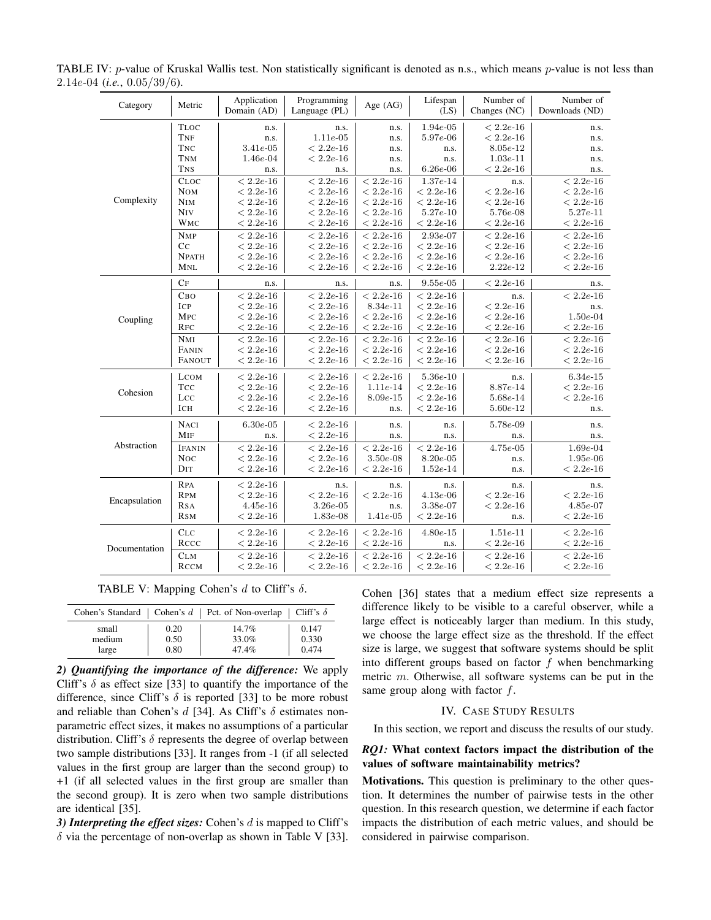| Category      | Metric         | Application<br>Domain (AD) | Programming<br>Language (PL) | Age (AG)          | Lifespan<br>(LS)  | Number of<br>Changes (NC) | Number of<br>Downloads (ND) |
|---------------|----------------|----------------------------|------------------------------|-------------------|-------------------|---------------------------|-----------------------------|
|               | <b>TLOC</b>    | n.s.                       | n.s.                         | n.s.              | $1.94e-05$        | $< 2.2e - 16$             | n.s.                        |
|               | TNF            | n.s.                       | $1.11e-05$                   | n.s.              | $5.97e-06$        | $< 2.2e - 16$             | n.s.                        |
|               | <b>TNC</b>     | $3.41e-05$                 | $< 2.2e - 16$                | n.s.              | n.s.              | $8.05e-12$                | n.s.                        |
|               | <b>TNM</b>     | $1.46e-04$                 | $< 2.2e - 16$                | n.s.              | n.s.              | $1.03e-11$                | n.s.                        |
|               | <b>TNS</b>     | n.s.                       | n.s.                         | n.s.              | $6.26e-06$        | $< 2.2e - 16$             | n.s.                        |
|               | CLOC           | $< 2.2e - 16$              | $< 2.2e - 16$                | $< 2.2e-16$       | $1.37e-14$        | n.s.                      | $< 2.2e-16$                 |
|               | <b>NOM</b>     | $< 2.2e-16$                | $< 2.2e - 16$                | $< 2.2e-16$       | $< 2.2e - 16$     | $< 2.2e - 16$             | $< 2.2e - 16$               |
| Complexity    | <b>NIM</b>     | $< 2.2e - 16$              | $< 2.2e - 16$                | $< 2.2e - 16$     | $< 2.2e - 16$     | $< 2.2e-16$               | $< 2.2e - 16$               |
|               | <b>NIV</b>     | $<2.2e\hbox{-}16$          | $<2.2e\hbox{-}16$            | $<2.2e\hbox{-}16$ | $5.27e\hbox{-}10$ | $5.76e-08$                | $5.27e-11$                  |
|               | <b>WMC</b>     | $< 2.2e - 16$              | $< 2.2e - 16$                | $< 2.2e - 16$     | $< 2.2e - 16$     | $< 2.2e - 16$             | $< 2.2e - 16$               |
|               | <b>NMP</b>     | $< 2.2e-16$                | $< 2.2e-16$                  | $< 2.2e-16$       | $2.93e-07$        | $< 2.2e - 16$             | $< 2.2e - 16$               |
|               | C <sub>C</sub> | $<2.2e\hbox{-}16$          | $<2.2e\hbox{-}16$            | $< 2.2e - 16$     | $< 2.2e - 16$     | $<2.2e\hbox{-}16$         | $<2.2e\hbox{-}16$           |
|               | <b>NPATH</b>   | $< 2.2e - 16$              | $< 2.2e - 16$                | $< 2.2e - 16$     | $<2.2e\hbox{-}16$ | $<2.2e\hbox{-}16$         | $< 2.2e - 16$               |
|               | MNL            | $< 2.2e - 16$              | $< 2.2e - 16$                | $<2.2e\hbox{-}16$ | $< 2.2e - 16$     | $2.22e-12$                | $< 2.2e - 16$               |
|               | CF             | n.s.                       | n.s.                         | n.s.              | $9.55e-05$        | $< 2.2e-16$               | n.s.                        |
|               | Сво            | $< 2.2e-16$                | $< 2.2e - 16$                | $< 2.2e - 16$     | $< 2.2e-16$       | n.s.                      | $< 2.2e - 16$               |
|               | ICP            | $<2.2e\hbox{-}16$          | $< 2.2e-16$                  | $8.34e-11$        | $<2.2e\hbox{-}16$ | $< 2.2e - 16$             | n.s.                        |
| Coupling      | <b>MPC</b>     | $< 2.2e - 16$              | $< 2.2e - 16$                | $< 2.2e - 16$     | $< 2.2e - 16$     | $< 2.2e - 16$             | $1.50e-04$                  |
|               | <b>RFC</b>     | $< 2.2e - 16$              | $< 2.2e - 16$                | $<2.2e\hbox{-}16$ | $< 2.2e - 16$     | $< 2.2e - 16$             | $<2.2e\hbox{-}16$           |
|               | NMI            | $< 2.2e - 16$              | $< 2.2e-16$                  | $< 2.2e - 16$     | $< 2.2e-16$       | $< 2.2e - 16$             | $< 2.2e - 16$               |
|               | FANIN          | $<2.2e\hbox{-}16$          | $<2.2e\hbox{-}16$            | $< 2.2e - 16$     | $<2.2e\hbox{-}16$ | $< 2.2e - 16$             | $< 2.2e - 16$               |
|               | FANOUT         | $< 2.2e - 16$              | $< 2.2e - 16$                | $< 2.2e - 16$     | $< 2.2e-16$       | $< 2.2e-16$               | $< 2.2e - 16$               |
|               | <b>LCOM</b>    | $< 2.2e-16$                | $< 2.2e - 16$                | $< 2.2e-16$       | $5.36e-10$        | n.s.                      | $6.34e-15$                  |
|               | <b>TCC</b>     | $< 2.2e-16$                | $< 2.2e-16$                  | $1.11e-14$        | $< 2.2e - 16$     | $8.87e-14$                | $< 2.2e - 16$               |
| Cohesion      | LCC            | $< 2.2e-16$                | $< 2.2e-16$                  | $8.09e - 15$      | $< 2.2e - 16$     | $5.68e-14$                | $< 2.2e - 16$               |
|               | ICH            | $< 2.2e - 16$              | $< 2.2e-16$                  | n.s.              | $< 2.2e - 16$     | $5.60e-12$                | n.s.                        |
|               | <b>NACI</b>    | $6.30e-0.5$                | $< 2.2e-16$                  | n.s.              | n.s.              | $5.78e-09$                | n.s.                        |
|               | MIF            | n.s.                       | $< 2.2e - 16$                | n.s.              | n.s.              | n.s.                      | n.s.                        |
| Abstraction   | <b>IFANIN</b>  | $\frac{1}{2}$ 2.2e-16      | $< 2.2e - 16$                | $< 2.2e - 16$     | $< 2.2e-16$       | $4.75e-05$                | $1.69e-04$                  |
|               | <b>Noc</b>     | $< 2.2e - 16$              | $<2.2e\hbox{-}16$            | $3.50e-08$        | $8.20e-05$        | n.s.                      | $1.95e-06$                  |
|               | DIT            | $<2.2e\hbox{-}16$          | $< 2.2e - 16$                | $< 2.2e - 16$     | $1.52e-14$        | n.s.                      | $< 2.2e - 16$               |
|               | <b>RPA</b>     | $< 2.2e-16$                | n.s.                         | n.s.              | n.s.              | n.s.                      | n.s.                        |
| Encapsulation | <b>RPM</b>     | $< 2.2e - 16$              | $< 2.2e - 16$                | $< 2.2e - 16$     | $4.13e-06$        | $< 2.2e - 16$             | $< 2.2e - 16$               |
|               | <b>RSA</b>     | $4.45e-16$                 | $3.26e - 05$                 | n.s.              | $3.38e-07$        | $<2.2e\hbox{-}16$         | $4.85e-07$                  |
|               | <b>RSM</b>     | $< 2.2e - 16$              | $1.83e-08$                   | $1.41e-05$        | $< 2.2e-16$       | n.s.                      | $< 2.2e - 16$               |
|               | CLC            | $< 2.2e-16$                | $< 2.2e-16$                  | $< 2.2e-16$       | $4.80e - 15$      | $1.51e-11$                | $< 2.2e - 16$               |
|               | RCCC           | $< 2.2e - 16$              | $<2.2e\hbox{-}16$            | $<2.2e\hbox{-}16$ | n.s.              | $< 2.2e - 16$             | $< 2.2e - 16$               |
| Documentation | CLM            | $< 2.2e - 16$              | $< 2.2e - 16$                | $< 2.2e - 16$     | $< 2.2e-16$       | $< 2.2e - 16$             | $< 2.2e - 16$               |
|               | RCCM           | $< 2.2e - 16$              | $< 2.2e - 16$                | $< 2.2e - 16$     | $< 2.2e - 16$     | $< 2.2e - 16$             | $< 2.2e - 16$               |

TABLE IV:  $p$ -value of Kruskal Wallis test. Non statistically significant is denoted as n.s., which means  $p$ -value is not less than 2.14e-04 (*i.e.*, 0.05/39/6).

TABLE V: Mapping Cohen's d to Cliff's  $\delta$ .

|        |      | Cohen's Standard   Cohen's $d$   Pct. of Non-overlap   Cliff's $\delta$ |       |
|--------|------|-------------------------------------------------------------------------|-------|
| small  | 0.20 | $14.7\%$                                                                | 0.147 |
| medium | 0.50 | 33.0%                                                                   | 0.330 |
| large  | 0.80 | 47.4%                                                                   | 0.474 |

*2) Quantifying the importance of the difference:* We apply Cliff's  $\delta$  as effect size [33] to quantify the importance of the difference, since Cliff's  $\delta$  is reported [33] to be more robust and reliable than Cohen's d [34]. As Cliff's  $\delta$  estimates nonparametric effect sizes, it makes no assumptions of a particular distribution. Cliff's  $\delta$  represents the degree of overlap between two sample distributions [33]. It ranges from -1 (if all selected values in the first group are larger than the second group) to +1 (if all selected values in the first group are smaller than the second group). It is zero when two sample distributions are identical [35].

*3) Interpreting the effect sizes:* Cohen's d is mapped to Cliff's  $\delta$  via the percentage of non-overlap as shown in Table V [33]. Cohen [36] states that a medium effect size represents a difference likely to be visible to a careful observer, while a large effect is noticeably larger than medium. In this study, we choose the large effect size as the threshold. If the effect size is large, we suggest that software systems should be split into different groups based on factor  $f$  when benchmarking metric m. Otherwise, all software systems can be put in the same group along with factor  $f$ .

# IV. CASE STUDY RESULTS

In this section, we report and discuss the results of our study.

# *RQ1:* What context factors impact the distribution of the values of software maintainability metrics?

Motivations. This question is preliminary to the other question. It determines the number of pairwise tests in the other question. In this research question, we determine if each factor impacts the distribution of each metric values, and should be considered in pairwise comparison.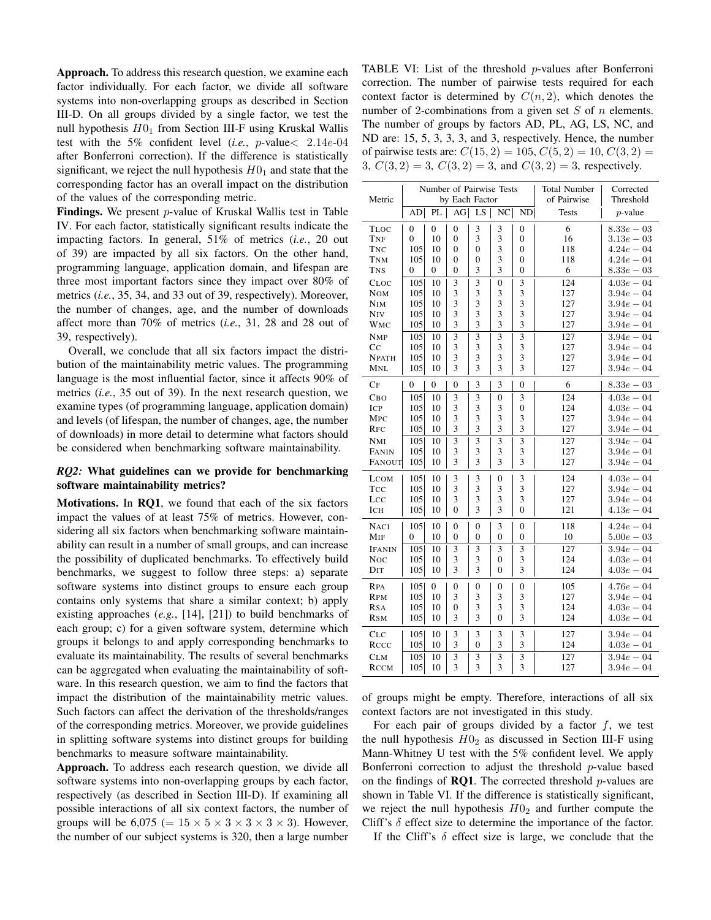Approach. To address this research question, we examine each factor individually. For each factor, we divide all software systems into non-overlapping groups as described in Section III-D. On all groups divided by a single factor, we test the null hypothesis  $H0<sub>1</sub>$  from Section III-F using Kruskal Wallis test with the 5% confident level (*i.e.*, p-value< 2.14e-04 after Bonferroni correction). If the difference is statistically significant, we reject the null hypothesis  $H0<sub>1</sub>$  and state that the corresponding factor has an overall impact on the distribution of the values of the corresponding metric.

Findings. We present *p*-value of Kruskal Wallis test in Table IV. For each factor, statistically significant results indicate the impacting factors. In general, 51% of metrics (*i.e.*, 20 out of 39) are impacted by all six factors. On the other hand, programming language, application domain, and lifespan are three most important factors since they impact over 80% of metrics (*i.e.*, 35, 34, and 33 out of 39, respectively). Moreover, the number of changes, age, and the number of downloads affect more than 70% of metrics (*i.e.*, 31, 28 and 28 out of 39, respectively).

Overall, we conclude that all six factors impact the distribution of the maintainability metric values. The programming language is the most influential factor, since it affects 90% of metrics (*i.e.*, 35 out of 39). In the next research question, we examine types (of programming language, application domain) and levels (of lifespan, the number of changes, age, the number of downloads) in more detail to determine what factors should be considered when benchmarking software maintainability.

# *RQ2:* What guidelines can we provide for benchmarking software maintainability metrics?

Motivations. In RQ1, we found that each of the six factors impact the values of at least 75% of metrics. However, considering all six factors when benchmarking software maintainability can result in a number of small groups, and can increase the possibility of duplicated benchmarks. To effectively build benchmarks, we suggest to follow three steps: a) separate software systems into distinct groups to ensure each group contains only systems that share a similar context; b) apply existing approaches (*e.g.*, [14], [21]) to build benchmarks of each group; c) for a given software system, determine which groups it belongs to and apply corresponding benchmarks to evaluate its maintainability. The results of several benchmarks can be aggregated when evaluating the maintainability of software. In this research question, we aim to find the factors that impact the distribution of the maintainability metric values. Such factors can affect the derivation of the thresholds/ranges of the corresponding metrics. Moreover, we provide guidelines in splitting software systems into distinct groups for building benchmarks to measure software maintainability.

Approach. To address each research question, we divide all software systems into non-overlapping groups by each factor, respectively (as described in Section III-D). If examining all possible interactions of all six context factors, the number of groups will be 6,075 (=  $15 \times 5 \times 3 \times 3 \times 3 \times 3$ ). However, the number of our subject systems is 320, then a large number

TABLE VI: List of the threshold  $p$ -values after Bonferroni correction. The number of pairwise tests required for each context factor is determined by  $C(n, 2)$ , which denotes the number of 2-combinations from a given set  $S$  of  $n$  elements. The number of groups by factors AD, PL, AG, LS, NC, and ND are: 15, 5, 3, 3, 3, and 3, respectively. Hence, the number of pairwise tests are:  $C(15, 2) = 105, C(5, 2) = 10, C(3, 2) =$ 3,  $C(3, 2) = 3$ ,  $C(3, 2) = 3$ , and  $C(3, 2) = 3$ , respectively.

| Metric        |                  |                | by Each Factor   |                | Number of Pairwise Tests |                  | <b>Total Number</b><br>of Pairwise | Corrected<br>Threshold |
|---------------|------------------|----------------|------------------|----------------|--------------------------|------------------|------------------------------------|------------------------|
|               | AD               | PL             | AG               | LS             | NC                       | ND               | <b>Tests</b>                       | $p$ -value             |
| <b>TLOC</b>   | $\boldsymbol{0}$ | $\overline{0}$ | $\overline{0}$   | 3              | 3                        | $\boldsymbol{0}$ | 6                                  | $8.33e - 03$           |
| TNF           | $\Omega$         | 10             | $\boldsymbol{0}$ | 3              | 3                        | $\boldsymbol{0}$ | 16                                 | $3.13e - 03$           |
| <b>TNC</b>    | 105              | 10             | $\theta$         | $\theta$       | $\overline{3}$           | $\theta$         | 118                                | $4.24e - 04$           |
| <b>TNM</b>    | 105              | 10             | $\theta$         | $\mathbf{0}$   | 3                        | $\mathbf{0}$     | 118                                | $4.24e - 04$           |
| <b>TNS</b>    | 0                | $\overline{0}$ | $\overline{0}$   | 3              | 3                        | $\mathbf{0}$     | 6                                  | $8.33e - 03$           |
| CLOC          | 105              | 10             | 3                | 3              | $\overline{0}$           | 3                | 124                                | $4.03e - 04$           |
| <b>NOM</b>    | 105              | 10             | 3                | 3              | 3                        | 3                | 127                                | $3.94e - 04$           |
| <b>NIM</b>    | 105              | 10             | 3                | 3              | 3                        | 3                | 127                                | $3.94e - 04$           |
| <b>NIV</b>    | 105              | 10             | 3                | 3              | 3                        | 3                | 127                                | $3.94e - 04$           |
| <b>WMC</b>    | 105              | 10             | 3                | 3              | 3                        | 3                | 127                                | $3.94e - 04$           |
| <b>NMP</b>    | 105              | 10             | 3                | 3              | 3                        | 3                | 127                                | $3.94e - 04$           |
| $_{\rm CC}$   | 105              | 10             | 3                | 3              | 3                        | 3                | 127                                | $3.94e - 04$           |
| <b>NPATH</b>  | 105              | 10             | 3                | 3              | 3                        | 3                | 127                                | $3.94e - 04$           |
| MNL           | 105              | 10             | 3                | 3              | 3                        | 3                | 127                                | $3.94e - 04$           |
| CF            | 0                | $\overline{0}$ | $\overline{0}$   | 3              | 3                        | $\overline{0}$   | 6                                  | $8.33e-03$             |
| Сво           | 105              | 10             | 3                | 3              | $\overline{0}$           | 3                | 124                                | $4.03e - 04$           |
| <b>ICP</b>    | 105              | 10             | $\overline{3}$   | 3              | 3                        | $\overline{0}$   | 124                                | $4.03e - 04$           |
| <b>MPC</b>    | 105              | 10             | 3                | 3              | 3                        | 3                | 127                                | $3.94e - 04$           |
| <b>RFC</b>    | 105              | 10             | 3                | 3              | 3                        | 3                | 127                                | $3.94e - 04$           |
| NMI           | 105              | 10             | 3                | 3              | 3                        | 3                | 127                                | $3.94e - 04$           |
| FANIN         | 105              | 10             | 3                | 3              | 3                        | 3                | 127                                | $3.94e - 04$           |
| <b>FANOUT</b> | 105              | 10             | 3                | 3              | $\overline{3}$           | 3                | 127                                | $3.94e - 04$           |
| <b>LCOM</b>   | 105              | 10             | 3                | 3              | $\mathbf{0}$             | 3                | 124                                | $4.03e - 04$           |
| TCC           | 105              | 10             | 3                | 3              | 3                        | 3                | 127                                | $3.94e - 04$           |
| LCC           | 105              | 10             | 3                | 3              | 3                        | 3                | 127                                | $3.94e - 04$           |
| ICH           | 105              | 10             | $\overline{0}$   | $\overline{3}$ | 3                        | $\overline{0}$   | 121                                | $4.13e - 04$           |
| <b>NACI</b>   | 105              | 10             | $\mathbf{0}$     | 0              | 3                        | 0                | 118                                | $4.24e - 04$           |
| MIF           | 0                | 10             | $\mathbf{0}$     | 0              | $\overline{0}$           | $\mathbf{0}$     | 10                                 | $5.00e - 03$           |
| <b>IFANIN</b> | 105              | 10             | 3                | 3              | 3                        | 3                | 127                                | $3.94e - 04$           |
| <b>Noc</b>    | 105              | 10             | 3                | 3              | $\mathbf{0}$             | 3                | 124                                | $4.03e - 04$           |
| DIT           | 105              | 10             | 3                | $\overline{3}$ | $\theta$                 | 3                | 124                                | $4.03e - 04$           |
| <b>RPA</b>    | 105              | $\overline{0}$ | $\mathbf{0}$     | 0              | $\overline{0}$           | $\mathbf{0}$     | 105                                | $4.76e - 04$           |
| <b>RPM</b>    | 105              | 10             | 3                | 3              | 3                        | 3                | 127                                | $3.94e - 04$           |
| <b>RSA</b>    | 105              | 10             | 0                | 3              | 3                        | 3                | 124                                | $4.03e - 04$           |
| <b>RSM</b>    | 105              | 10             | 3                | $\overline{3}$ | $\overline{0}$           | 3                | 124                                | $4.03e - 04$           |
| CLC           | 105              | 10             | 3                | 3              | 3                        | 3                | 127                                | $3.94e - 04$           |
| RCCC          | 105              | 10             | 3                | $\overline{0}$ | $\overline{3}$           | 3                | 124                                | $4.03e-04$             |
| <b>CLM</b>    | 105              | 10             | 3                | 3              | 3                        | 3                | 127                                | $3.94e - 04$           |
| <b>RCCM</b>   | 105              | 10             | $\overline{3}$   | 3              | $\overline{3}$           | $\overline{3}$   | 127                                | $3.94e - 04$           |

of groups might be empty. Therefore, interactions of all six context factors are not investigated in this study.

For each pair of groups divided by a factor  $f$ , we test the null hypothesis  $H0_2$  as discussed in Section III-F using Mann-Whitney U test with the 5% confident level. We apply Bonferroni correction to adjust the threshold  $p$ -value based on the findings of **RQ1**. The corrected threshold  $p$ -values are shown in Table VI. If the difference is statistically significant, we reject the null hypothesis  $H0<sub>2</sub>$  and further compute the Cliff's  $\delta$  effect size to determine the importance of the factor.

If the Cliff's  $\delta$  effect size is large, we conclude that the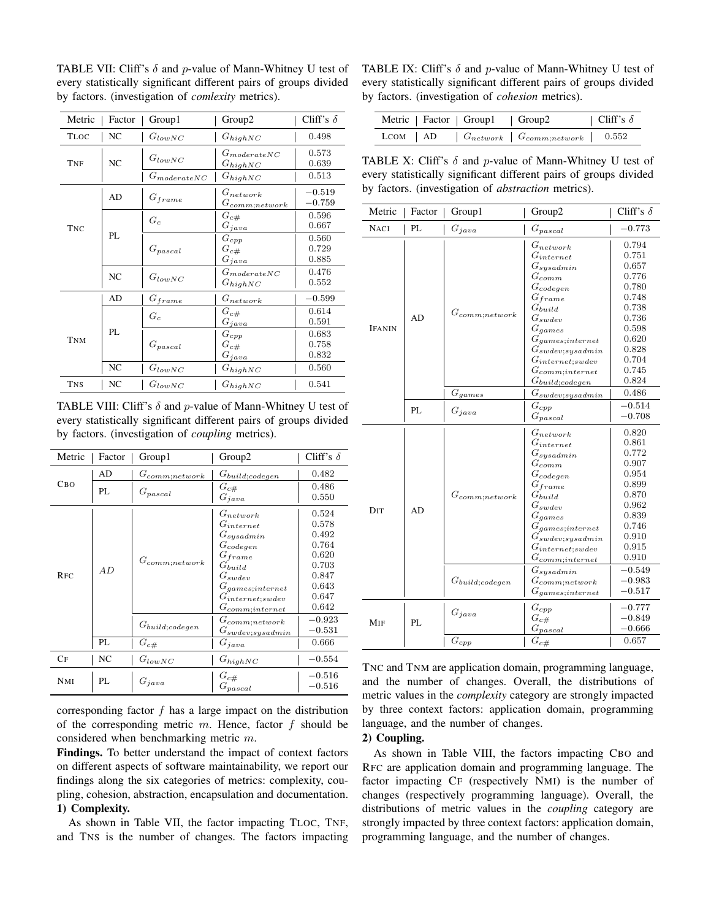TABLE VII: Cliff's  $\delta$  and p-value of Mann-Whitney U test of every statistically significant different pairs of groups divided by factors. (investigation of *comlexity* metrics).

| Metric      | Factor         | Group1           | Group2                               | Cliff's $\delta$        |
|-------------|----------------|------------------|--------------------------------------|-------------------------|
| <b>TLOC</b> | NC             | $G_{lowNC}$      | $G_{highNC}$                         | 0.498                   |
| <b>TNF</b>  | NC             | $G_{lowNC}$      | $G_{moderateNC}$<br>$G_{highNC}$     | 0.573<br>0.639          |
|             |                | $G_{moderateNC}$ | $G_{highNC}$                         | 0.513                   |
|             | AD             | $G_{frame}$      | $G_{network}$<br>$G_{comm; network}$ | $-0.519$<br>$-0.759$    |
| <b>TNC</b>  |                | $G_c$            | $G_{c\#}$<br>$G_{java}$              | 0.596<br>0.667          |
|             | PL             | $G_{pascal}$     | $G_{cpp}$<br>$G_{c\#}$<br>$G_{java}$ | 0.560<br>0.729<br>0.885 |
|             | N <sub>C</sub> | $G_{lowNC}$      | $G_{moderateNC}$<br>$G_{highNC}$     | 0.476<br>0.552          |
|             | AD             | $G_{frame}$      | $G_{network}$                        | $-0.599$                |
|             |                | $G_c$            | $G_{c\#}$<br>$G_{java}$              | 0.614<br>0.591          |
| <b>TNM</b>  | PL             | $G_{pascal}$     | $G_{cpp}$<br>$G_{c\#}$<br>$G_{java}$ | 0.683<br>0.758<br>0.832 |
|             | NC             | $G_{lowNC}$      | $G_{highNC}$                         | 0.560                   |
| <b>TNS</b>  | NC             | $G_{lowNC}$      | $G_{highNC}$                         | 0.541                   |

TABLE VIII: Cliff's  $\delta$  and p-value of Mann-Whitney U test of every statistically significant different pairs of groups divided by factors. (investigation of *coupling* metrics).

| Metric     | Factor | Group1               | Group <sub>2</sub>                                                                                                                                                                                       | Cliff's $\delta$                                                                       |
|------------|--------|----------------------|----------------------------------------------------------------------------------------------------------------------------------------------------------------------------------------------------------|----------------------------------------------------------------------------------------|
|            | AD     | $G_{comm; network}$  | G <sub>build;codegen</sub>                                                                                                                                                                               | 0.482                                                                                  |
| CBO<br>PL  |        | $G_{pascal}$         | $G_{c\#}$<br>$G_{java}$                                                                                                                                                                                  | 0.486<br>0.550                                                                         |
| <b>RFC</b> | AD     | $G_{comm; network}$  | $G_{network}$<br>$G_{internet}$<br>$G_{sysadmin}$<br>$G_{codegen}$<br>${\cal G}_{frame}$<br>$G_{build}$<br>${\cal G}_{swdev}$<br>$G_{games;internet}$<br>$G_{internet;swdev}$<br>$G_{commit;\:internet}$ | 0.524<br>0.578<br>0.492<br>0.764<br>0.620<br>0.703<br>0.847<br>0.643<br>0.647<br>0.642 |
|            |        | $G_{build; codegen}$ | $G_{comm; network}$<br>$G_{swdev,sysadmin}$                                                                                                                                                              | $-0.923$<br>$-0.531$                                                                   |
|            | PL     | $G_{c\#}$            | $G_{java}$                                                                                                                                                                                               | 0.666                                                                                  |
| CF         | NC     | $G_{lowNC}$          | $G_{highNC}$                                                                                                                                                                                             | $-0.554$                                                                               |
| <b>NMI</b> | PL     | $G_{java}$           | $G_{c\#}$<br>$G_{pascal}$                                                                                                                                                                                | $-0.516$<br>$-0.516$                                                                   |

corresponding factor f has a large impact on the distribution of the corresponding metric  $m$ . Hence, factor  $f$  should be considered when benchmarking metric m.

Findings. To better understand the impact of context factors on different aspects of software maintainability, we report our findings along the six categories of metrics: complexity, coupling, cohesion, abstraction, encapsulation and documentation. 1) Complexity.

As shown in Table VII, the factor impacting TLOC, TNF, and TNS is the number of changes. The factors impacting

TABLE IX: Cliff's  $\delta$  and p-value of Mann-Whitney U test of every statistically significant different pairs of groups divided by factors. (investigation of *cohesion* metrics).

| Metric   Factor   Group1   Group2 |                                                        | Cliff's $\delta$ |
|-----------------------------------|--------------------------------------------------------|------------------|
|                                   | LCOM   AD   $G_{network}$   $G_{comm;network}$   0.552 |                  |

TABLE X: Cliff's  $\delta$  and p-value of Mann-Whitney U test of every statistically significant different pairs of groups divided by factors. (investigation of *abstraction* metrics).

| Metric        | Factor | Group1                                      | Group2                                                                                                                                                                                                                                                                                                         | Cliff's $\delta$                                                                                                                                      |
|---------------|--------|---------------------------------------------|----------------------------------------------------------------------------------------------------------------------------------------------------------------------------------------------------------------------------------------------------------------------------------------------------------------|-------------------------------------------------------------------------------------------------------------------------------------------------------|
| <b>NACI</b>   | PL     | $G_{java}$                                  | $G_{pascal}$                                                                                                                                                                                                                                                                                                   | $-0.773$                                                                                                                                              |
| <b>IFANIN</b> | AD     | $G_{comm; network}$                         | $G_{network}$<br>$G_{internet}$<br>$G_{sysadmin}$<br>$G_{comm}$<br>$G_{codegen}$<br>$G_{frame}$<br>$G_{build}$<br>$G_{swdev}$<br>$G_{games}$<br>$G_{games;internet}$<br>$G_{swdev;sysadmin}$<br>$G_{internet;swdev}$<br>$G_{commit}$<br>$G_{build; codegen}$                                                   | 0.794<br>0.751<br>0.657<br>0.776<br>0.780<br>0.748<br>0.738<br>0.736<br>0.598<br>0.620<br>0.828<br>0.704<br>0.745<br>0.824                            |
|               |        | $G_{games}$                                 | $G_{swdev;sysadmin}$                                                                                                                                                                                                                                                                                           | 0.486                                                                                                                                                 |
|               | PL     | $G_{java}$                                  | $G_{cpp}$<br>$G_{pascal}$                                                                                                                                                                                                                                                                                      | $-0.514$<br>$-0.708$                                                                                                                                  |
| DIT           | AD.    | $G_{comm; network}$<br>$G_{build; codegen}$ | $G_{network}$<br>$G_{internet}$<br>$G_{sysadmin}$<br>$G_{comm}$<br>$G_{codegen}$<br>$G_{frame}$<br>$G_{build}$<br>$G_{swdev}$<br>$G_{games}$<br>$G_{games;internet}$<br>$G_{swdev,sysadmin}$<br>$G_{internet;swdev}$<br>$G_{commit;internet}$<br>$G_{sysadmin}$<br>$G_{comm; network}$<br>$G_{games;internet}$ | 0.820<br>0.861<br>0.772<br>0.907<br>0.954<br>0.899<br>0.870<br>0.962<br>0.839<br>0.746<br>0.910<br>0.915<br>0.910<br>$-0.549$<br>$-0.983$<br>$-0.517$ |
| MIF           | PL     | $G_{java}$                                  | $G_{cpp}$<br>$G_{c\#}$<br>$G_{pascal}$                                                                                                                                                                                                                                                                         | $-0.777$<br>$-0.849$<br>$-0.666$                                                                                                                      |
|               |        | $G_{cpp}$                                   | $G_{c\#}$                                                                                                                                                                                                                                                                                                      | 0.657                                                                                                                                                 |

TNC and TNM are application domain, programming language, and the number of changes. Overall, the distributions of metric values in the *complexity* category are strongly impacted by three context factors: application domain, programming language, and the number of changes.

## 2) Coupling.

As shown in Table VIII, the factors impacting CBO and RFC are application domain and programming language. The factor impacting CF (respectively NMI) is the number of changes (respectively programming language). Overall, the distributions of metric values in the *coupling* category are strongly impacted by three context factors: application domain, programming language, and the number of changes.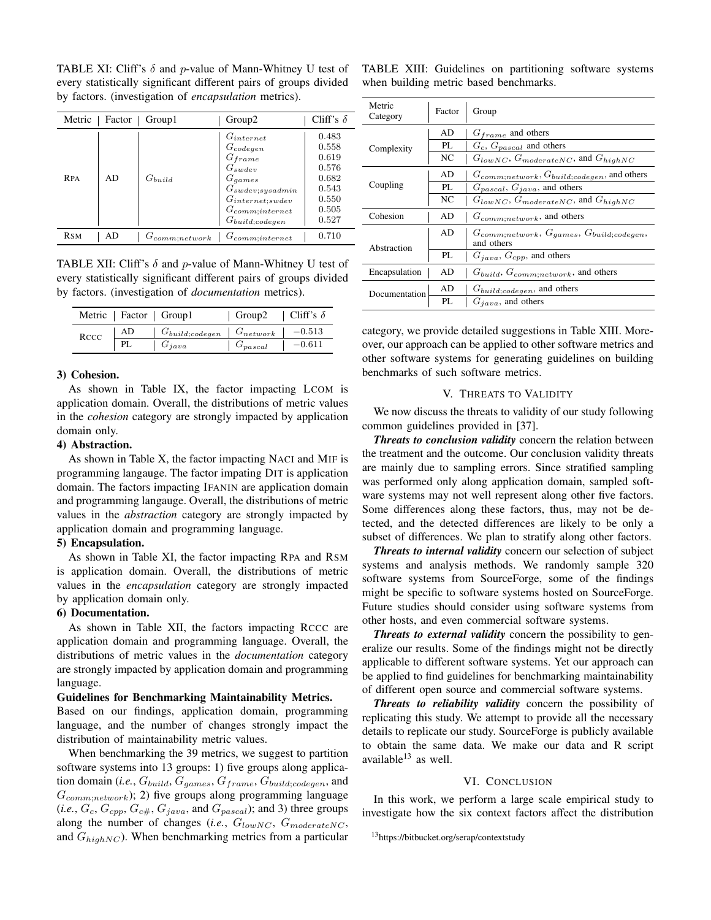TABLE XI: Cliff's  $\delta$  and p-value of Mann-Whitney U test of TABLE XIII: Guidelines on partitioning software systems every statistically significant different pairs of groups divided by factors. (investigation of *encapsulation* metrics).

| Metric     | Factor | Group1              | Group <sub>2</sub>                                                                                                                                                                 | Cliff's $\delta$                                                              |
|------------|--------|---------------------|------------------------------------------------------------------------------------------------------------------------------------------------------------------------------------|-------------------------------------------------------------------------------|
| <b>RPA</b> | AD     | $G_{build}$         | $G_{internet}$<br>${\cal G}_{codegen}$<br>$G_{frame}$<br>$G_{swdev}$<br>$G_{\text{games}}$<br>$G_{swdev;sysadmin}$<br>$G_{internet;swdev}$<br>$G_{commit}$<br>$G_{build; codegen}$ | 0.483<br>0.558<br>0.619<br>0.576<br>0.682<br>0.543<br>0.550<br>0.505<br>0.527 |
| <b>RSM</b> | AD     | $G_{comm; network}$ | $G_{commit}$                                                                                                                                                                       | 0.710                                                                         |

TABLE XII: Cliff's  $\delta$  and p-value of Mann-Whitney U test of every statistically significant different pairs of groups divided by factors. (investigation of *documentation* metrics).

|      |     | Metric   Factor   Group1                               | Group2   Cliff's $\delta$ |          |
|------|-----|--------------------------------------------------------|---------------------------|----------|
| RCCC | AD  | $\mid G_{build; codegen} \mid G_{network} \mid -0.513$ |                           |          |
|      | PI. | $G_{java}$                                             | $G_{pascal}$              | $-0.611$ |

## 3) Cohesion.

As shown in Table IX, the factor impacting LCOM is application domain. Overall, the distributions of metric values in the *cohesion* category are strongly impacted by application domain only.

## 4) Abstraction.

As shown in Table X, the factor impacting NACI and MIF is programming langauge. The factor impating DIT is application domain. The factors impacting IFANIN are application domain and programming langauge. Overall, the distributions of metric values in the *abstraction* category are strongly impacted by application domain and programming language.

# 5) Encapsulation.

As shown in Table XI, the factor impacting RPA and RSM is application domain. Overall, the distributions of metric values in the *encapsulation* category are strongly impacted by application domain only.

# 6) Documentation.

As shown in Table XII, the factors impacting RCCC are application domain and programming language. Overall, the distributions of metric values in the *documentation* category are strongly impacted by application domain and programming language.

#### Guidelines for Benchmarking Maintainability Metrics.

Based on our findings, application domain, programming language, and the number of changes strongly impact the distribution of maintainability metric values.

When benchmarking the 39 metrics, we suggest to partition software systems into 13 groups: 1) five groups along application domain (*i.e.*,  $G_{build}$ ,  $G_{games}$ ,  $G_{frame}$ ,  $G_{build;codegen}$ , and  $G_{comm;network}$ ); 2) five groups along programming language  $(i.e., G_c, G_{cpp}, G_{c#}, G_{java}, \text{and } G_{pascal})$ ; and 3) three groups along the number of changes (*i.e.*,  $G_{lowNC}$ ,  $G_{moderateNC}$ , and  $G_{highNC}$ ). When benchmarking metrics from a particular

when building metric based benchmarks.

| Metric<br>Category | Factor | Group                                                             |
|--------------------|--------|-------------------------------------------------------------------|
| Complexity         | AD     | $G_{frame}$ and others                                            |
|                    | PI.    | $G_c$ , $G_{pascal}$ and others                                   |
|                    | NC     | $G_{lowNC}$ , $G_{moderateNC}$ , and $G_{highNC}$                 |
| Coupling           | AD     | $G_{comm; network}, G_{build; codegen},$ and others               |
|                    | PL.    | $G_{pascal}$ , $G_{iava}$ , and others                            |
|                    | NC     | $G_{lowNC}$ , $G_{moderateNC}$ , and $G_{highNC}$                 |
| Cohesion           | AD     | $G_{comm; network}$ , and others                                  |
| Abstraction        | AD     | $G_{comm; network}, G_{games}, G_{build: codegen},$<br>and others |
|                    | PL.    | $G_{java}$ , $G_{cpp}$ , and others                               |
| Encapsulation      | AD     | $G_{build}, G_{comm; network},$ and others                        |
| Documentation      | AD     | $G_{build; codegen}$ , and others                                 |
|                    | PL.    | $G_{java}$ , and others                                           |

category, we provide detailed suggestions in Table XIII. Moreover, our approach can be applied to other software metrics and other software systems for generating guidelines on building benchmarks of such software metrics.

## V. THREATS TO VALIDITY

We now discuss the threats to validity of our study following common guidelines provided in [37].

*Threats to conclusion validity* concern the relation between the treatment and the outcome. Our conclusion validity threats are mainly due to sampling errors. Since stratified sampling was performed only along application domain, sampled software systems may not well represent along other five factors. Some differences along these factors, thus, may not be detected, and the detected differences are likely to be only a subset of differences. We plan to stratify along other factors.

*Threats to internal validity* concern our selection of subject systems and analysis methods. We randomly sample 320 software systems from SourceForge, some of the findings might be specific to software systems hosted on SourceForge. Future studies should consider using software systems from other hosts, and even commercial software systems.

*Threats to external validity* concern the possibility to generalize our results. Some of the findings might not be directly applicable to different software systems. Yet our approach can be applied to find guidelines for benchmarking maintainability of different open source and commercial software systems.

*Threats to reliability validity* concern the possibility of replicating this study. We attempt to provide all the necessary details to replicate our study. SourceForge is publicly available to obtain the same data. We make our data and R script available $13$  as well.

### VI. CONCLUSION

In this work, we perform a large scale empirical study to investigate how the six context factors affect the distribution

<sup>13</sup>https://bitbucket.org/serap/contextstudy